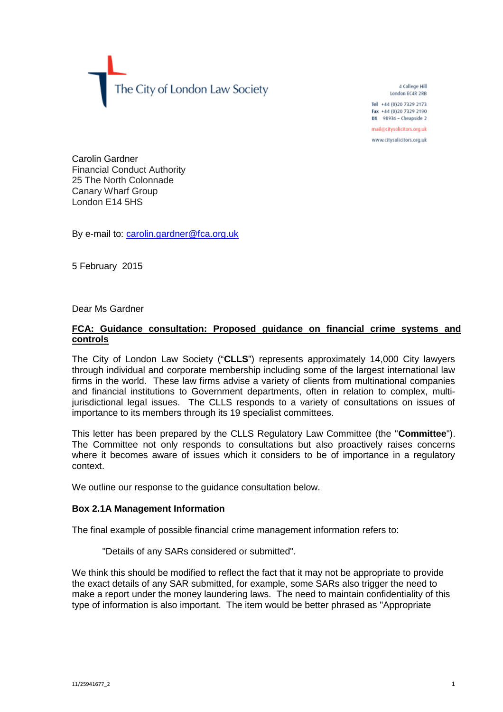The City of London Law Society

4 College Hill London EC4R 2RB

Tel +44 (0)20 7329 2173 Fax +44 (0)20 7329 2190 DX 98936 - Cheapside 2

mail@citysolicitors.org.uk

www.citysolicitors.org.uk

Carolin Gardner Financial Conduct Authority 25 The North Colonnade Canary Wharf Group London E14 5HS

By e-mail to: [carolin.gardner@fca.org.uk](mailto:carolin.gardner@fca.org.uk)

5 February 2015

## Dear Ms Gardner

# **FCA: Guidance consultation: Proposed guidance on financial crime systems and controls**

The City of London Law Society ("**CLLS**") represents approximately 14,000 City lawyers through individual and corporate membership including some of the largest international law firms in the world. These law firms advise a variety of clients from multinational companies and financial institutions to Government departments, often in relation to complex, multijurisdictional legal issues. The CLLS responds to a variety of consultations on issues of importance to its members through its 19 specialist committees.

This letter has been prepared by the CLLS Regulatory Law Committee (the "**Committee**"). The Committee not only responds to consultations but also proactively raises concerns where it becomes aware of issues which it considers to be of importance in a regulatory context.

We outline our response to the guidance consultation below.

## **Box 2.1A Management Information**

The final example of possible financial crime management information refers to:

"Details of any SARs considered or submitted".

We think this should be modified to reflect the fact that it may not be appropriate to provide the exact details of any SAR submitted, for example, some SARs also trigger the need to make a report under the money laundering laws. The need to maintain confidentiality of this type of information is also important. The item would be better phrased as "Appropriate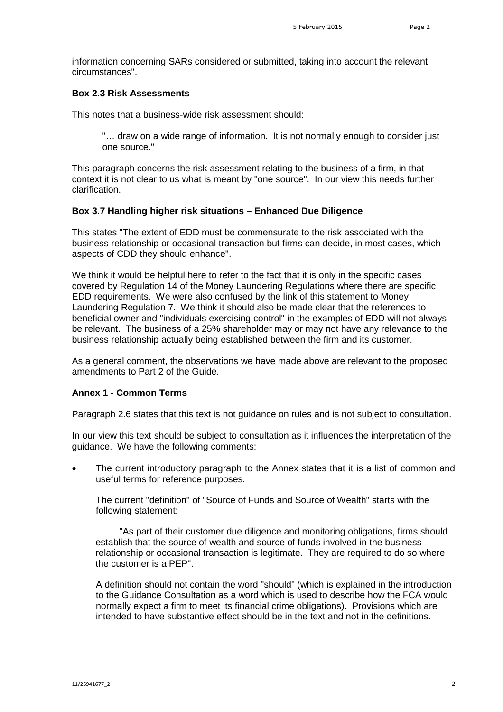information concerning SARs considered or submitted, taking into account the relevant circumstances".

## **Box 2.3 Risk Assessments**

This notes that a business-wide risk assessment should:

"… draw on a wide range of information. It is not normally enough to consider just one source."

This paragraph concerns the risk assessment relating to the business of a firm, in that context it is not clear to us what is meant by "one source". In our view this needs further clarification.

#### **Box 3.7 Handling higher risk situations – Enhanced Due Diligence**

This states "The extent of EDD must be commensurate to the risk associated with the business relationship or occasional transaction but firms can decide, in most cases, which aspects of CDD they should enhance".

We think it would be helpful here to refer to the fact that it is only in the specific cases covered by Regulation 14 of the Money Laundering Regulations where there are specific EDD requirements. We were also confused by the link of this statement to Money Laundering Regulation 7. We think it should also be made clear that the references to beneficial owner and "individuals exercising control" in the examples of EDD will not always be relevant. The business of a 25% shareholder may or may not have any relevance to the business relationship actually being established between the firm and its customer.

As a general comment, the observations we have made above are relevant to the proposed amendments to Part 2 of the Guide.

# **Annex 1 - Common Terms**

Paragraph 2.6 states that this text is not guidance on rules and is not subject to consultation.

In our view this text should be subject to consultation as it influences the interpretation of the guidance. We have the following comments:

 The current introductory paragraph to the Annex states that it is a list of common and useful terms for reference purposes.

The current "definition" of "Source of Funds and Source of Wealth" starts with the following statement:

"As part of their customer due diligence and monitoring obligations, firms should establish that the source of wealth and source of funds involved in the business relationship or occasional transaction is legitimate. They are required to do so where the customer is a PEP".

A definition should not contain the word "should" (which is explained in the introduction to the Guidance Consultation as a word which is used to describe how the FCA would normally expect a firm to meet its financial crime obligations). Provisions which are intended to have substantive effect should be in the text and not in the definitions.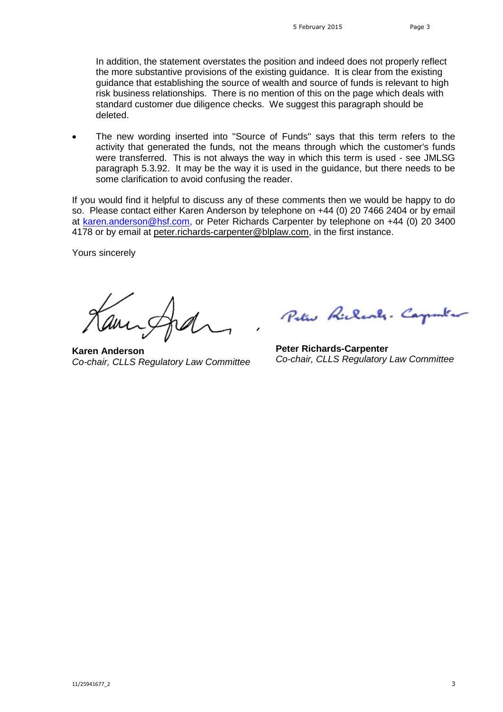In addition, the statement overstates the position and indeed does not properly reflect the more substantive provisions of the existing guidance. It is clear from the existing guidance that establishing the source of wealth and source of funds is relevant to high risk business relationships. There is no mention of this on the page which deals with standard customer due diligence checks. We suggest this paragraph should be deleted.

 The new wording inserted into "Source of Funds" says that this term refers to the activity that generated the funds, not the means through which the customer's funds were transferred. This is not always the way in which this term is used - see JMLSG paragraph 5.3.92. It may be the way it is used in the guidance, but there needs to be some clarification to avoid confusing the reader.

If you would find it helpful to discuss any of these comments then we would be happy to do so. Please contact either Karen Anderson by telephone on +44 (0) 20 7466 2404 or by email at [karen.anderson@hsf.com](mailto:karen.anderson@hsf.com), or Peter Richards Carpenter by telephone on +44 (0) 20 3400 4178 or by emailat [peter.richards-carpenter@blplaw.com](mailto:peter.richards-carpenter@blplaw.com), in the first instance.

Yours sincerely

**Karen Anderson** *Co-chair, CLLS Regulatory Law Committee*

Peter Richards. Carpenter

**Peter Richards-Carpenter** *Co-chair, CLLS Regulatory Law Committee*